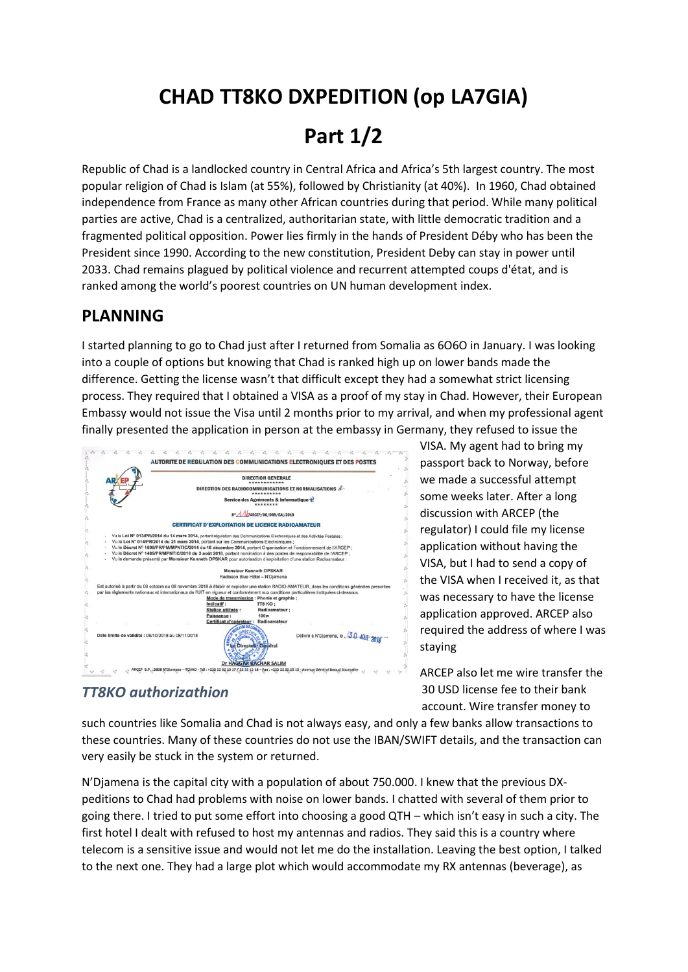# **CHAD TT8KO DXPEDITION (op LA7GIA)**

## **Part 1/2**

Republic of Chad is a landlocked country in Central Africa and Africa's 5th largest country. The most popular religion of Chad is Islam (at 55%), followed by Christianity (at 40%). In 1960, Chad obtained independence from France as many other African countries during that period. While many political parties are active, Chad is a centralized, authoritarian state, with little democratic tradition and a fragmented political opposition. Power lies firmly in the hands of President Déby who has been the President since 1990. According to the new constitution, President Deby can stay in power until 2033. Chad remains plagued by [political violence](https://en.wikipedia.org/wiki/Political_violence) and recurrent attempted [coups d'état,](https://en.wikipedia.org/wiki/Coup_d%27%C3%A9tat) and is ranked among the world's poorest countries on UN human development index.

#### **PLANNING**

I started planning to go to Chad just after I returned from Somalia as 6O6O in January. I was looking into a couple of options but knowing that Chad is ranked high up on lower bands made the difference. Getting the license wasn't that difficult except they had a somewhat strict licensing process. They required that I obtained a VISA as a proof of my stay in Chad. However, their European Embassy would not issue the Visa until 2 months prior to my arrival, and when my professional agent finally presented the application in person at the embassy in Germany, they refused to issue the



### *TT8KO authorizathion*

VISA. My agent had to bring my passport back to Norway, before we made a successful attempt some weeks later. After a long discussion with ARCEP (the regulator) I could file my license application without having the VISA, but I had to send a copy of the VISA when I received it, as that was necessary to have the license application approved. ARCEP also required the address of where I was staying

ARCEP also let me wire transfer the 30 USD license fee to their bank account. Wire transfer money to

such countries like Somalia and Chad is not always easy, and only a few banks allow transactions to these countries. Many of these countries do not use the IBAN/SWIFT details, and the transaction can very easily be stuck in the system or returned.

N'Djamena is the capital city with a population of about 750.000. I knew that the previous DXpeditions to Chad had problems with noise on lower bands. I chatted with several of them prior to going there. I tried to put some effort into choosing a good QTH – which isn't easy in such a city. The first hotel I dealt with refused to host my antennas and radios. They said this is a country where telecom is a sensitive issue and would not let me do the installation. Leaving the best option, I talked to the next one. They had a large plot which would accommodate my RX antennas (beverage), as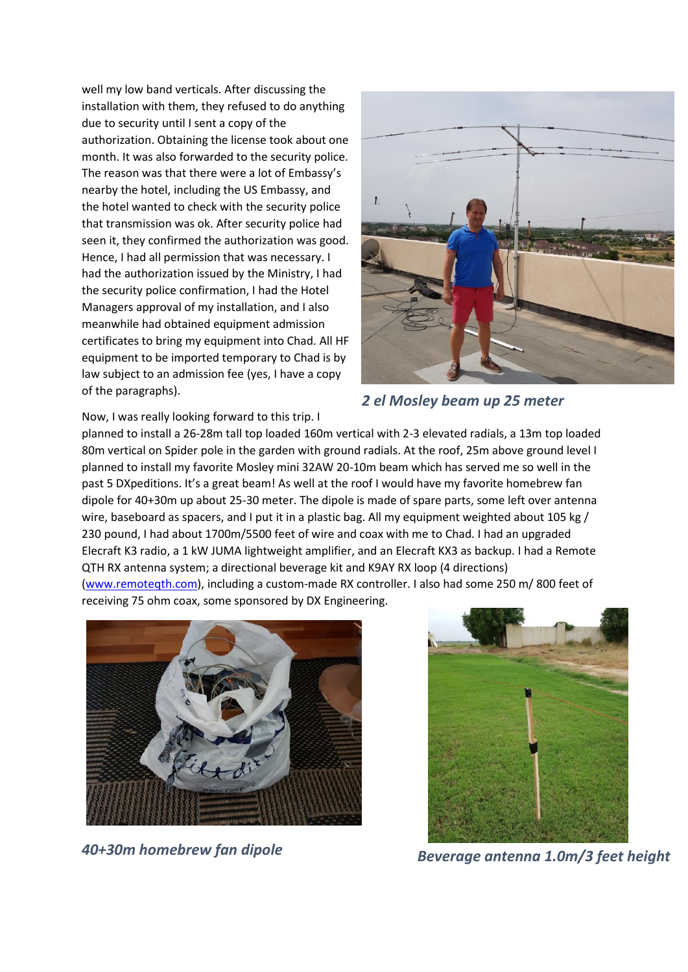well my low band verticals. After discussing the installation with them, they refused to do anything due to security until I sent a copy of the authorization. Obtaining the license took about one month. It was also forwarded to the security police. The reason was that there were a lot of Embassy's nearby the hotel, including the US Embassy, and the hotel wanted to check with the security police that transmission was ok. After security police had seen it, they confirmed the authorization was good. Hence, I had all permission that was necessary. I had the authorization issued by the Ministry, I had the security police confirmation, I had the Hotel Managers approval of my installation, and I also meanwhile had obtained equipment admission certificates to bring my equipment into Chad. All HF equipment to be imported temporary to Chad is by law subject to an admission fee (yes, I have a copy of the paragraphs).



*2 el Mosley beam up 25 meter*

Now, I was really looking forward to this trip. I

planned to install a 26-28m tall top loaded 160m vertical with 2-3 elevated radials, a 13m top loaded 80m vertical on Spider pole in the garden with ground radials. At the roof, 25m above ground level I planned to install my favorite Mosley mini 32AW 20-10m beam which has served me so well in the past 5 DXpeditions. It's a great beam! As well at the roof I would have my favorite homebrew fan dipole for 40+30m up about 25-30 meter. The dipole is made of spare parts, some left over antenna wire, baseboard as spacers, and I put it in a plastic bag. All my equipment weighted about 105 kg / 230 pound, I had about 1700m/5500 feet of wire and coax with me to Chad. I had an upgraded Elecraft K3 radio, a 1 kW JUMA lightweight amplifier, and an Elecraft KX3 as backup. I had a Remote QTH RX antenna system; a directional beverage kit and K9AY RX loop (4 directions)

[\(www.remoteqth.com\)](http://www.remoteqth.com/), including a custom-made RX controller. I also had some 250 m/ 800 feet of receiving 75 ohm coax, some sponsored by DX Engineering.





*40+30m homebrew fan dipole Beverage antenna 1.0m/3 feet height*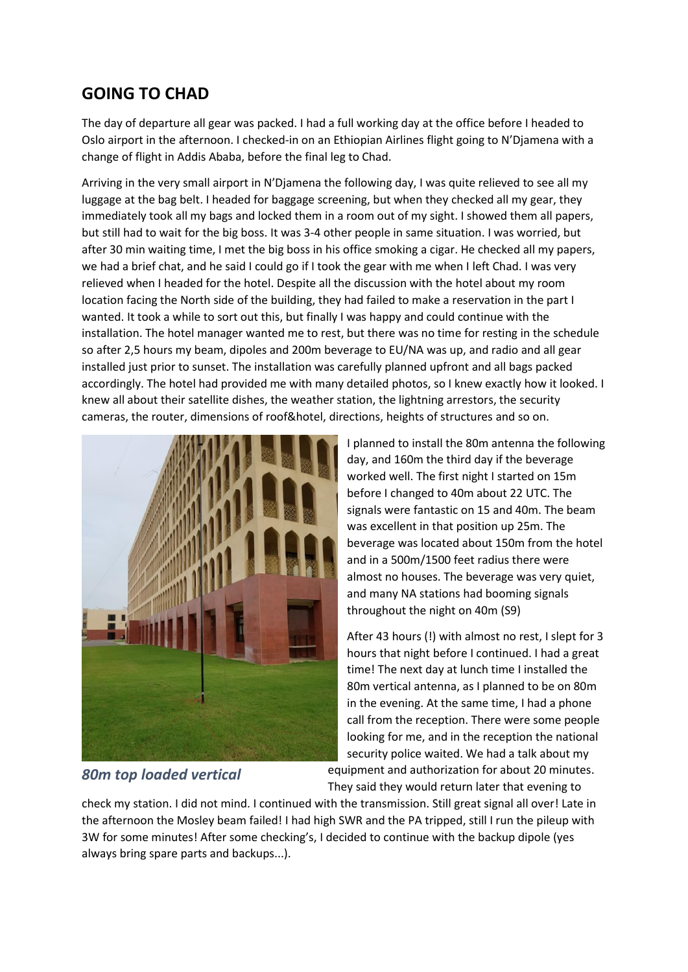#### **GOING TO CHAD**

The day of departure all gear was packed. I had a full working day at the office before I headed to Oslo airport in the afternoon. I checked-in on an Ethiopian Airlines flight going to N'Djamena with a change of flight in Addis Ababa, before the final leg to Chad.

Arriving in the very small airport in N'Djamena the following day, I was quite relieved to see all my luggage at the bag belt. I headed for baggage screening, but when they checked all my gear, they immediately took all my bags and locked them in a room out of my sight. I showed them all papers, but still had to wait for the big boss. It was 3-4 other people in same situation. I was worried, but after 30 min waiting time, I met the big boss in his office smoking a cigar. He checked all my papers, we had a brief chat, and he said I could go if I took the gear with me when I left Chad. I was very relieved when I headed for the hotel. Despite all the discussion with the hotel about my room location facing the North side of the building, they had failed to make a reservation in the part I wanted. It took a while to sort out this, but finally I was happy and could continue with the installation. The hotel manager wanted me to rest, but there was no time for resting in the schedule so after 2,5 hours my beam, dipoles and 200m beverage to EU/NA was up, and radio and all gear installed just prior to sunset. The installation was carefully planned upfront and all bags packed accordingly. The hotel had provided me with many detailed photos, so I knew exactly how it looked. I knew all about their satellite dishes, the weather station, the lightning arrestors, the security cameras, the router, dimensions of roof&hotel, directions, heights of structures and so on.



*80m top loaded vertical*

I planned to install the 80m antenna the following day, and 160m the third day if the beverage worked well. The first night I started on 15m before I changed to 40m about 22 UTC. The signals were fantastic on 15 and 40m. The beam was excellent in that position up 25m. The beverage was located about 150m from the hotel and in a 500m/1500 feet radius there were almost no houses. The beverage was very quiet, and many NA stations had booming signals throughout the night on 40m (S9)

After 43 hours (!) with almost no rest, I slept for 3 hours that night before I continued. I had a great time! The next day at lunch time I installed the 80m vertical antenna, as I planned to be on 80m in the evening. At the same time, I had a phone call from the reception. There were some people looking for me, and in the reception the national security police waited. We had a talk about my

equipment and authorization for about 20 minutes. They said they would return later that evening to

check my station. I did not mind. I continued with the transmission. Still great signal all over! Late in the afternoon the Mosley beam failed! I had high SWR and the PA tripped, still I run the pileup with 3W for some minutes! After some checking's, I decided to continue with the backup dipole (yes always bring spare parts and backups...).